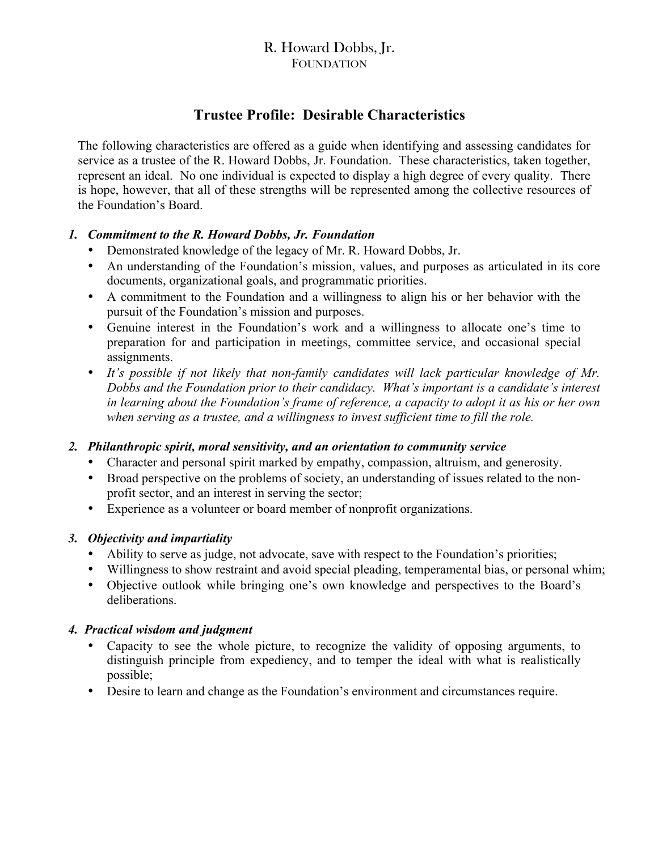## R. Howard Dobbs, Jr. **FOUNDATION**

# **Trustee Profile: Desirable Characteristics**

The following characteristics are offered as a guide when identifying and assessing candidates for service as a trustee of the R. Howard Dobbs, Jr. Foundation. These characteristics, taken together, represent an ideal. No one individual is expected to display a high degree of every quality. There is hope, however, that all of these strengths will be represented among the collective resources of the Foundation's Board.

#### *1. Commitment to the R. Howard Dobbs, Jr. Foundation*

- Demonstrated knowledge of the legacy of Mr. R. Howard Dobbs, Jr.
- An understanding of the Foundation's mission, values, and purposes as articulated in its core documents, organizational goals, and programmatic priorities.
- A commitment to the Foundation and a willingness to align his or her behavior with the pursuit of the Foundation's mission and purposes.
- Genuine interest in the Foundation's work and a willingness to allocate one's time to preparation for and participation in meetings, committee service, and occasional special assignments.
- *It's possible if not likely that non-family candidates will lack particular knowledge of Mr. Dobbs and the Foundation prior to their candidacy. What's important is a candidate's interest in learning about the Foundation's frame of reference, a capacity to adopt it as his or her own when serving as a trustee, and a willingness to invest sufficient time to fill the role.*

#### *2. Philanthropic spirit, moral sensitivity, and an orientation to community service*

- Character and personal spirit marked by empathy, compassion, altruism, and generosity.
- Broad perspective on the problems of society, an understanding of issues related to the nonprofit sector, and an interest in serving the sector;
- Experience as a volunteer or board member of nonprofit organizations.

#### *3. Objectivity and impartiality*

- Ability to serve as judge, not advocate, save with respect to the Foundation's priorities;
- Willingness to show restraint and avoid special pleading, temperamental bias, or personal whim;
- Objective outlook while bringing one's own knowledge and perspectives to the Board's deliberations.

#### *4. Practical wisdom and judgment*

- Capacity to see the whole picture, to recognize the validity of opposing arguments, to distinguish principle from expediency, and to temper the ideal with what is realistically possible;
- Desire to learn and change as the Foundation's environment and circumstances require.